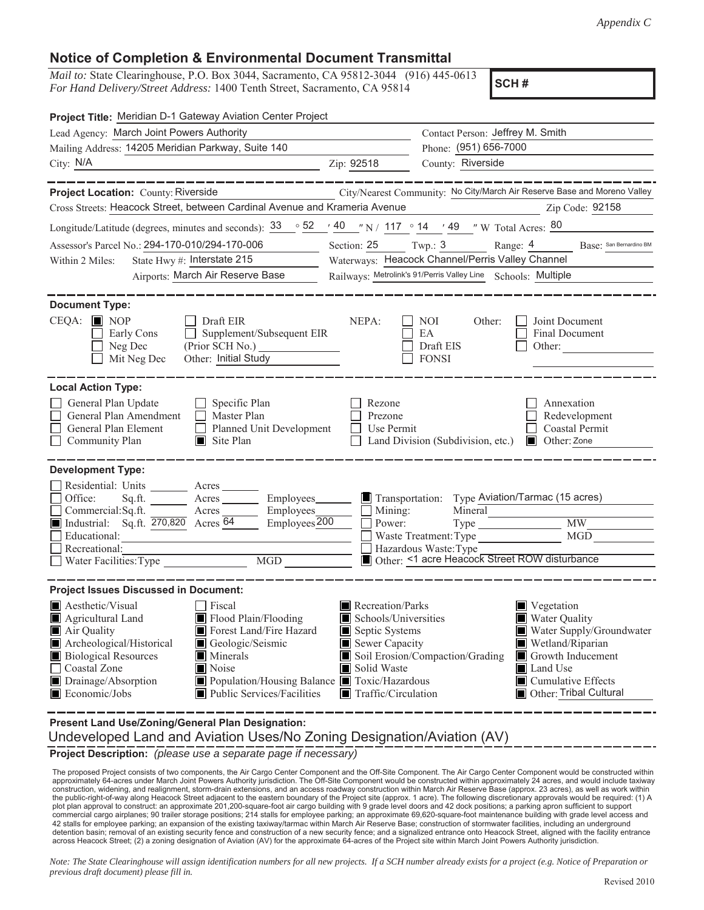## **Notice of Completion & Environmental Document Transmittal**

*Mail to:* State Clearinghouse, P.O. Box 3044, Sacramento, CA 95812-3044 (916) 445-0613 *For Hand Delivery/Street Address:* 1400 Tenth Street, Sacramento, CA 95814

**SCH #**

| Project Title: Meridian D-1 Gateway Aviation Center Project                                                                                                                                                                                                                                                                                                                                                                        |                                                                                                                                                  |                                                                                                            |                                                                                                                                                                             |  |  |  |
|------------------------------------------------------------------------------------------------------------------------------------------------------------------------------------------------------------------------------------------------------------------------------------------------------------------------------------------------------------------------------------------------------------------------------------|--------------------------------------------------------------------------------------------------------------------------------------------------|------------------------------------------------------------------------------------------------------------|-----------------------------------------------------------------------------------------------------------------------------------------------------------------------------|--|--|--|
| Lead Agency: March Joint Powers Authority                                                                                                                                                                                                                                                                                                                                                                                          | Contact Person: Jeffrey M. Smith                                                                                                                 |                                                                                                            |                                                                                                                                                                             |  |  |  |
| Mailing Address: 14205 Meridian Parkway, Suite 140                                                                                                                                                                                                                                                                                                                                                                                 |                                                                                                                                                  | Phone: (951) 656-7000                                                                                      |                                                                                                                                                                             |  |  |  |
| City: N/A                                                                                                                                                                                                                                                                                                                                                                                                                          | Zip: 92518                                                                                                                                       | County: Riverside                                                                                          |                                                                                                                                                                             |  |  |  |
| ________                                                                                                                                                                                                                                                                                                                                                                                                                           |                                                                                                                                                  |                                                                                                            |                                                                                                                                                                             |  |  |  |
| Project Location: County: Riverside                                                                                                                                                                                                                                                                                                                                                                                                |                                                                                                                                                  |                                                                                                            | City/Nearest Community: No City/March Air Reserve Base and Moreno Valley                                                                                                    |  |  |  |
| Cross Streets: Heacock Street, between Cardinal Avenue and Krameria Avenue                                                                                                                                                                                                                                                                                                                                                         |                                                                                                                                                  |                                                                                                            | Zip Code: 92158                                                                                                                                                             |  |  |  |
| Longitude/Latitude (degrees, minutes and seconds): $\frac{33}{9}$ $\frac{52}{9}$ $\frac{40}{9}$ $\frac{1}{117}$ $\frac{1}{117}$ $\frac{1}{9}$ 14 $\frac{1}{49}$ $\frac{1}{117}$ W Total Acres: $\frac{80}{9}$                                                                                                                                                                                                                      |                                                                                                                                                  |                                                                                                            |                                                                                                                                                                             |  |  |  |
| Assessor's Parcel No.: 294-170-010/294-170-006                                                                                                                                                                                                                                                                                                                                                                                     | Section: 25 Twp.: 3                                                                                                                              |                                                                                                            | Base: San Bernardino BM<br>Range: $4$                                                                                                                                       |  |  |  |
| State Hwy #: Interstate 215<br>Within 2 Miles:                                                                                                                                                                                                                                                                                                                                                                                     |                                                                                                                                                  | Waterways: Heacock Channel/Perris Valley Channel                                                           |                                                                                                                                                                             |  |  |  |
| Airports: March Air Reserve Base                                                                                                                                                                                                                                                                                                                                                                                                   |                                                                                                                                                  | Railways: Metrolink's 91/Perris Valley Line Schools: Multiple                                              |                                                                                                                                                                             |  |  |  |
| <b>Document Type:</b>                                                                                                                                                                                                                                                                                                                                                                                                              |                                                                                                                                                  |                                                                                                            |                                                                                                                                                                             |  |  |  |
| $CEQA: \blacksquare$ NOP<br>$\Box$ Draft EIR<br>Supplement/Subsequent EIR<br>Early Cons<br>Neg Dec<br>Mit Neg Dec<br>Other: Initial Study                                                                                                                                                                                                                                                                                          | NEPA:                                                                                                                                            | Other:<br>NOI<br>EA<br>Draft EIS<br><b>FONSI</b>                                                           | Joint Document<br>Final Document<br>Other:                                                                                                                                  |  |  |  |
| <b>Local Action Type:</b><br>General Plan Update<br>$\Box$ Specific Plan<br>General Plan Amendment<br>$\Box$ Master Plan<br>General Plan Element<br>Planned Unit Development<br>$\perp$<br>Community Plan<br>$\Box$ Site Plan                                                                                                                                                                                                      | Rezone<br>Prezone<br>Use Permit                                                                                                                  | Land Division (Subdivision, etc.)                                                                          | Annexation<br>Redevelopment<br><b>Coastal Permit</b><br><b>Other:</b> Zone                                                                                                  |  |  |  |
| <b>Development Type:</b>                                                                                                                                                                                                                                                                                                                                                                                                           |                                                                                                                                                  |                                                                                                            |                                                                                                                                                                             |  |  |  |
| Residential: Units Acres<br>Office:<br>Sq.ft.<br>Employees________<br>Commercial:Sq.ft.<br>Employees_<br>Acres<br>Employees <sub>200</sub><br>Industrial: Sq.ft. 270,820 Acres 64<br>Educational:<br>Recreational:<br>MGD<br>Water Facilities: Type                                                                                                                                                                                | Transportation:<br>$\Box$ Mining:<br>Power:                                                                                                      | Mineral<br>Waste Treatment: Type<br>Hazardous Waste: Type<br>Other: <1 acre Heacock Street ROW disturbance | Type Aviation/Tarmac (15 acres)<br>MW<br>MGD                                                                                                                                |  |  |  |
|                                                                                                                                                                                                                                                                                                                                                                                                                                    |                                                                                                                                                  |                                                                                                            |                                                                                                                                                                             |  |  |  |
| <b>Project Issues Discussed in Document:</b><br>Aesthetic/Visual<br>$\exists$ Fiscal<br>Flood Plain/Flooding<br>Agricultural Land<br>Forest Land/Fire Hazard<br>Air Quality<br>Archeological/Historical<br>Geologic/Seismic<br><b>Biological Resources</b><br>$\blacksquare$ Minerals<br>Coastal Zone<br>Noise<br>Drainage/Absorption<br>Population/Housing Balance Toxic/Hazardous<br>Economic/Jobs<br>Public Services/Facilities | $\blacksquare$ Recreation/Parks<br>Schools/Universities<br>Septic Systems<br>Sewer Capacity<br>Solid Waste<br>$\blacksquare$ Traffic/Circulation | Soil Erosion/Compaction/Grading                                                                            | Vegetation<br>Water Quality<br>Water Supply/Groundwater<br>Wetland/Riparian<br>Growth Inducement<br>Land Use<br>$\blacksquare$ Cumulative Effects<br>Other: Tribal Cultural |  |  |  |
| Present Land Use/Zoning/General Plan Designation:                                                                                                                                                                                                                                                                                                                                                                                  |                                                                                                                                                  |                                                                                                            |                                                                                                                                                                             |  |  |  |

Undeveloped Land and Aviation Uses/No Zoning Designation/Aviation (AV)

**Project Description:** *(please use a separate page if necessary)*

The proposed Project consists of two components, the Air Cargo Center Component and the Off-Site Component. The Air Cargo Center Component would be constructed within<br>approximately 64-acres under March Joint Powers Authori construction, widening, and realignment, storm-drain extensions, and an access roadway construction within March Air Reserve Base (approx. 23 acres), as well as work within the public-right-of-way along Heacock Street adjacent to the eastern boundary of the Project site (approx. 1 acre). The following discretionary approvals would be required: (1) A plot plan approval to construct: an approximate 201,200-square-foot air cargo building with 9 grade level doors and 42 dock positions; a parking apron sufficient to support commercial cargo airplanes; 90 trailer storage positions; 214 stalls for employee parking; an approximate 69,620-square-foot maintenance building with grade level access and 42 stalls for employee parking; an expansion of the existing taxiway/tarmac within March Air Reserve Base; construction of stormwater facilities, including an underground detention basin; removal of an existing security fence and construction of a new security fence; and a signalized entrance onto Heacock Street, aligned with the facility entrance<br>across Heacock Street; (2) a zoning designa

*Note: The State Clearinghouse will assign identification numbers for all new projects. If a SCH number already exists for a project (e.g. Notice of Preparation or previous draft document) please fill in.*